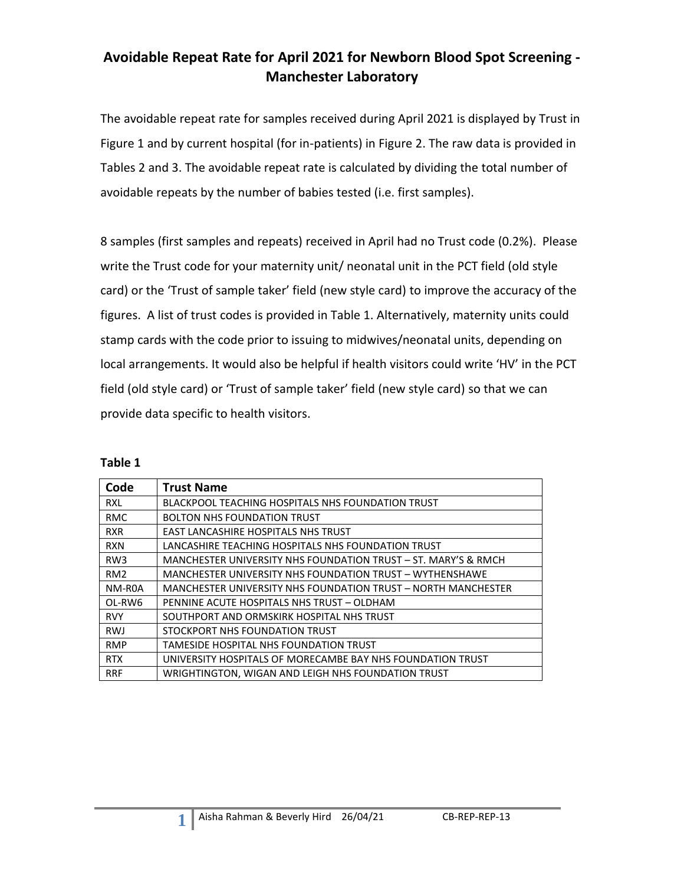### **Avoidable Repeat Rate for April 2021 for Newborn Blood Spot Screening - Manchester Laboratory**

The avoidable repeat rate for samples received during April 2021 is displayed by Trust in Figure 1 and by current hospital (for in-patients) in Figure 2. The raw data is provided in Tables 2 and 3. The avoidable repeat rate is calculated by dividing the total number of avoidable repeats by the number of babies tested (i.e. first samples).

8 samples (first samples and repeats) received in April had no Trust code (0.2%). Please write the Trust code for your maternity unit/ neonatal unit in the PCT field (old style card) or the 'Trust of sample taker' field (new style card) to improve the accuracy of the figures. A list of trust codes is provided in Table 1. Alternatively, maternity units could stamp cards with the code prior to issuing to midwives/neonatal units, depending on local arrangements. It would also be helpful if health visitors could write 'HV' in the PCT field (old style card) or 'Trust of sample taker' field (new style card) so that we can provide data specific to health visitors.

| Code            | <b>Trust Name</b>                                              |
|-----------------|----------------------------------------------------------------|
| <b>RXL</b>      | <b>BLACKPOOL TEACHING HOSPITALS NHS FOUNDATION TRUST</b>       |
| <b>RMC</b>      | <b>BOLTON NHS FOUNDATION TRUST</b>                             |
| <b>RXR</b>      | EAST LANCASHIRE HOSPITALS NHS TRUST                            |
| <b>RXN</b>      | LANCASHIRE TEACHING HOSPITALS NHS FOUNDATION TRUST             |
| RW <sub>3</sub> | MANCHESTER UNIVERSITY NHS FOUNDATION TRUST – ST. MARY'S & RMCH |
| RM <sub>2</sub> | MANCHESTER UNIVERSITY NHS FOUNDATION TRUST - WYTHENSHAWE       |
| NM-ROA          | MANCHESTER UNIVERSITY NHS FOUNDATION TRUST - NORTH MANCHESTER  |
| OL-RW6          | PENNINE ACUTE HOSPITALS NHS TRUST - OLDHAM                     |
| <b>RVY</b>      | SOUTHPORT AND ORMSKIRK HOSPITAL NHS TRUST                      |
| <b>RWJ</b>      | STOCKPORT NHS FOUNDATION TRUST                                 |
| <b>RMP</b>      | TAMESIDE HOSPITAL NHS FOUNDATION TRUST                         |
| <b>RTX</b>      | UNIVERSITY HOSPITALS OF MORECAMBE BAY NHS FOUNDATION TRUST     |
| <b>RRF</b>      | WRIGHTINGTON, WIGAN AND LEIGH NHS FOUNDATION TRUST             |

**Table 1**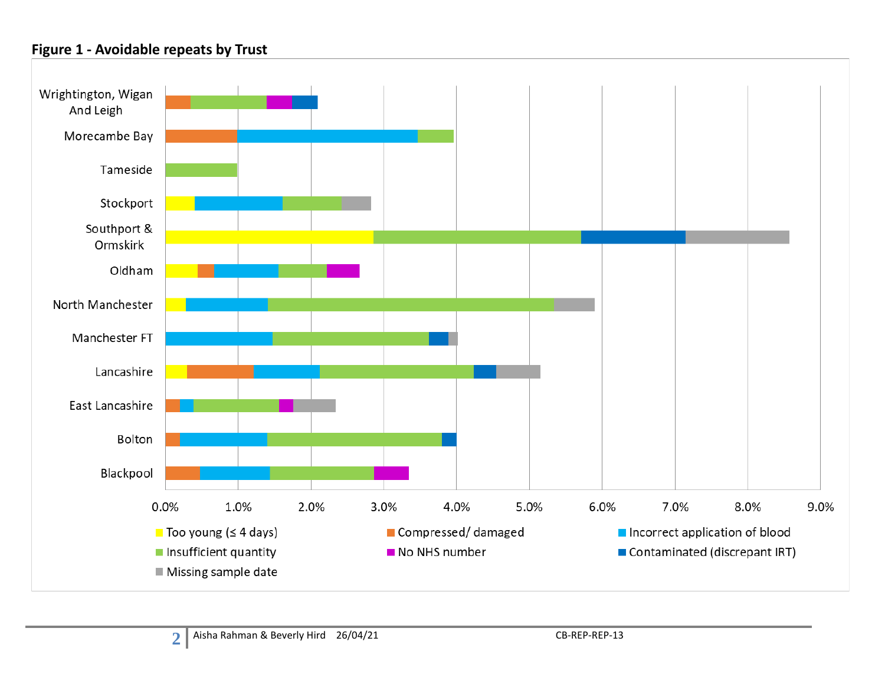#### **Figure 1 - Avoidable repeats by Trust**

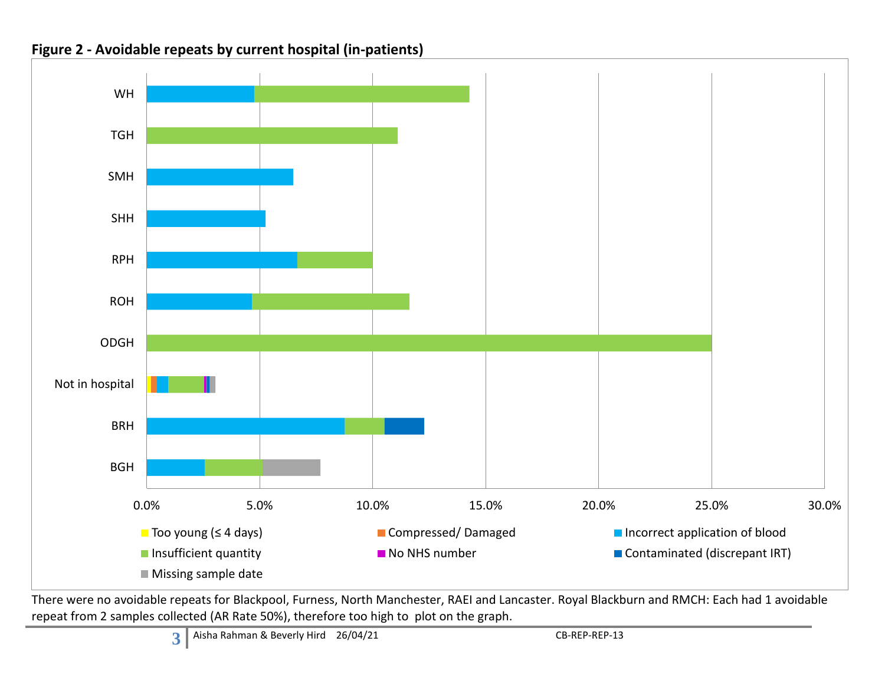

**Figure 2 - Avoidable repeats by current hospital (in-patients)**

There were no avoidable repeats for Blackpool, Furness, North Manchester, RAEI and Lancaster. Royal Blackburn and RMCH: Each had 1 avoidable repeat from 2 samples collected (AR Rate 50%), therefore too high to plot on the graph.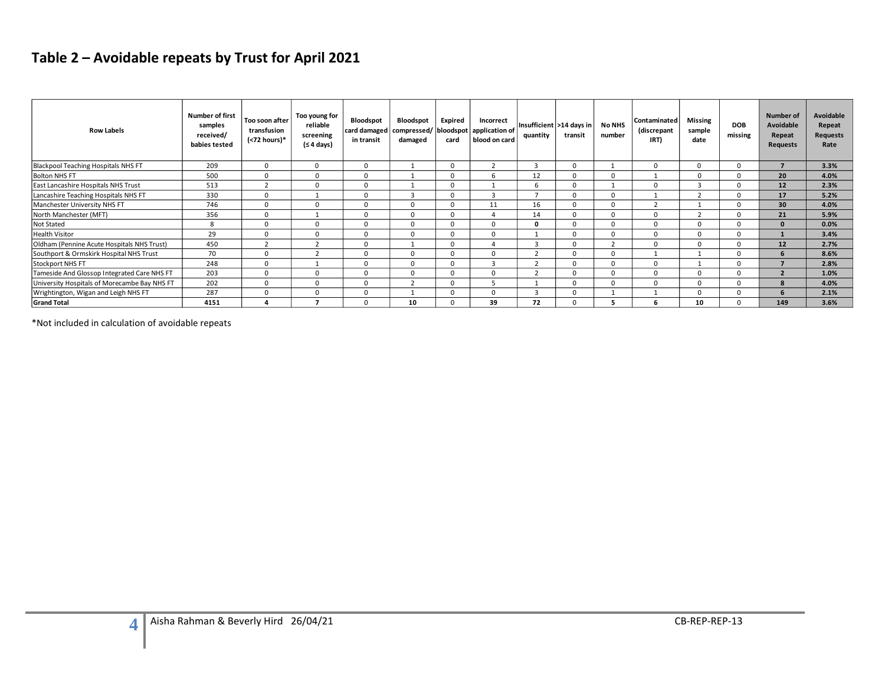# **Table 2 – Avoidable repeats by Trust for April 2021**

| <b>Row Labels</b>                            | <b>Number of first</b><br>samples<br>received/<br>babies tested | Too soon after<br>transfusion<br>$(72 hours)*$ | Too young for<br>reliable<br>screening<br>(≤ 4 days) | Bloodspot<br>in transit | <b>Bloodspot</b><br>damaged | Expired<br>card | Incorrect<br>card damaged   compressed/   bloodspot   application of<br>blood on card | quantity | Insufficient   >14 days in<br>transit | <b>No NHS</b><br>number | Contaminated<br>(discrepant<br>IRT) | Missing<br>sample<br>date | <b>DOB</b><br>missing | Number of<br>Avoidable<br>Repeat<br><b>Requests</b> | Avoidable<br>Repeat<br><b>Requests</b><br>Rate |
|----------------------------------------------|-----------------------------------------------------------------|------------------------------------------------|------------------------------------------------------|-------------------------|-----------------------------|-----------------|---------------------------------------------------------------------------------------|----------|---------------------------------------|-------------------------|-------------------------------------|---------------------------|-----------------------|-----------------------------------------------------|------------------------------------------------|
| Blackpool Teaching Hospitals NHS FT          | 209                                                             | $^{\circ}$                                     | $\Omega$                                             | $\Omega$                |                             | $\Omega$        | $\mathcal{P}$                                                                         | 3        | $\Omega$                              |                         | $\Omega$                            | $\Omega$                  | $\Omega$              |                                                     | 3.3%                                           |
| <b>Bolton NHS FT</b>                         | 500                                                             | $\mathbf 0$                                    | 0                                                    | $\Omega$                |                             | $\Omega$        | h                                                                                     | 12       |                                       |                         |                                     |                           | $\Omega$              | 20                                                  | 4.0%                                           |
| East Lancashire Hospitals NHS Trust          | 513                                                             |                                                | $\Omega$                                             | $\Omega$                |                             | $\Omega$        |                                                                                       | 6        | $\Omega$                              |                         |                                     |                           | $\Omega$              | 12                                                  | 2.3%                                           |
| Lancashire Teaching Hospitals NHS FT         | 330                                                             | $\mathbf 0$                                    |                                                      | $\Omega$                | 3                           | $\Omega$        | 3                                                                                     | ⇁        | $\Omega$                              |                         |                                     |                           | $\Omega$              | 17                                                  | 5.2%                                           |
| Manchester University NHS FT                 | 746                                                             | $\Omega$                                       | $\Omega$                                             | $\Omega$                | 0                           | $\Omega$        | 11                                                                                    | 16       | $\Omega$                              |                         |                                     |                           | $\Omega$              | 30                                                  | 4.0%                                           |
| North Manchester (MFT)                       | 356                                                             | $\mathbf 0$                                    |                                                      | $\Omega$                |                             | $\Omega$        |                                                                                       | 14       |                                       |                         |                                     |                           | $\Omega$              | 21                                                  | 5.9%                                           |
| Not Stated                                   | 8                                                               | $\Omega$                                       | $\Omega$                                             | $\Omega$                |                             | $\Omega$        | $\Omega$                                                                              | 0        | $\Omega$                              |                         |                                     |                           | $\Omega$              | $\mathbf{0}$                                        | 0.0%                                           |
| <b>Health Visitor</b>                        | 29                                                              | $\Omega$                                       | $\Omega$                                             | $\Omega$                |                             | $\Omega$        | $\Omega$                                                                              |          |                                       |                         |                                     |                           | $\Omega$              |                                                     | 3.4%                                           |
| Oldham (Pennine Acute Hospitals NHS Trust)   | 450                                                             | $\overline{2}$                                 | $\overline{2}$                                       | 0                       |                             | $\Omega$        |                                                                                       | 3        | $\Omega$                              |                         | $\Omega$                            | $\Omega$                  | $\Omega$              | 12                                                  | 2.7%                                           |
| Southport & Ormskirk Hospital NHS Trust      | 70                                                              | $\Omega$                                       |                                                      | $\Omega$                |                             | $\Omega$        | $\Omega$                                                                              |          |                                       |                         |                                     |                           | $\Omega$              | $\mathbf{6}$                                        | 8.6%                                           |
| <b>Stockport NHS FT</b>                      | 248                                                             | $\Omega$                                       |                                                      | $\Omega$                |                             | $\Omega$        |                                                                                       | $\sim$   |                                       |                         |                                     |                           | $\Omega$              |                                                     | 2.8%                                           |
| Tameside And Glossop Integrated Care NHS FT  | 203                                                             | $\Omega$                                       | $\Omega$                                             | $\Omega$                |                             | $\Omega$        | $\Omega$                                                                              |          |                                       |                         | $\Omega$                            |                           | $\Omega$              | $\overline{2}$                                      | 1.0%                                           |
| University Hospitals of Morecambe Bay NHS FT | 202                                                             | $\Omega$                                       | $\Omega$                                             | $\Omega$                | $\overline{2}$              | $\Omega$        |                                                                                       |          | $\Omega$                              |                         | $\Omega$                            | $\Omega$                  | $\Omega$              | 8                                                   | 4.0%                                           |
| Wrightington, Wigan and Leigh NHS FT         | 287                                                             | $\Omega$                                       | $\Omega$                                             | $\Omega$                |                             | $\Omega$        | $\Omega$                                                                              | 3        | $\Omega$                              |                         |                                     |                           | $\Omega$              |                                                     | 2.1%                                           |
| <b>Grand Total</b>                           | 4151                                                            |                                                |                                                      | $\Omega$                | 10                          |                 | 39                                                                                    | 72       |                                       |                         |                                     | 10                        | $\Omega$              | 149                                                 | 3.6%                                           |

\*Not included in calculation of avoidable repeats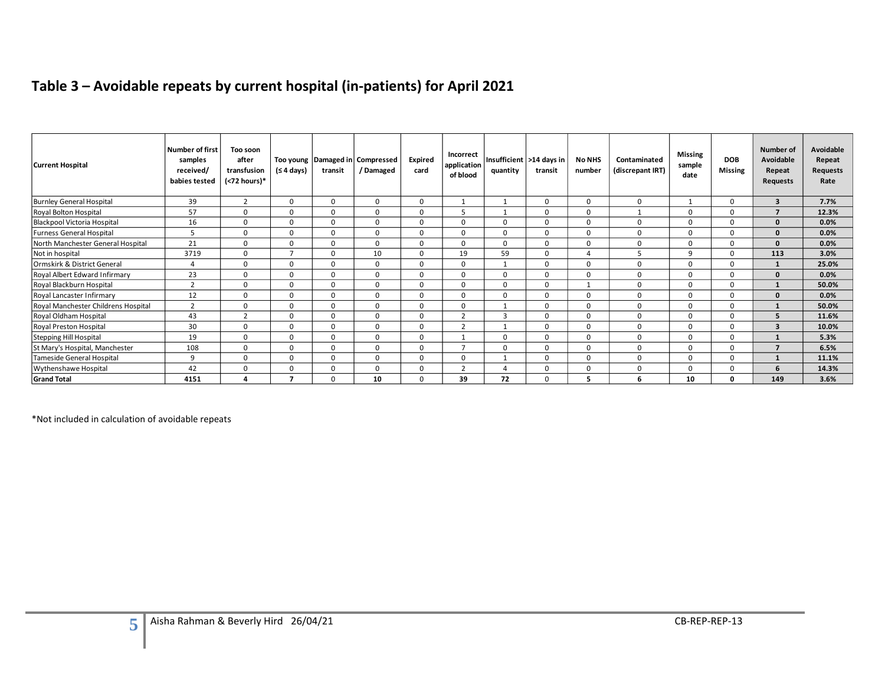# **Table 3 – Avoidable repeats by current hospital (in-patients) for April 2021**

| <b>Current Hospital</b>             | Number of first<br>samples<br>received/<br>babies tested | Too soon<br>after<br>transfusion<br>(<72 hours)* | (≤ 4 days)     | transit | Too young Damaged in Compressed<br>/ Damaged | <b>Expired</b><br>card | Incorrect<br>application<br>of blood | quantity | Insufficient   >14 days in<br>transit | <b>No NHS</b><br>number | Contaminated<br>(discrepant IRT) | <b>Missing</b><br>sample<br>date | <b>DOB</b><br><b>Missing</b> | Number of<br>Avoidable<br>Repeat<br>Requests | Avoidable<br>Repeat<br><b>Requests</b><br>Rate |
|-------------------------------------|----------------------------------------------------------|--------------------------------------------------|----------------|---------|----------------------------------------------|------------------------|--------------------------------------|----------|---------------------------------------|-------------------------|----------------------------------|----------------------------------|------------------------------|----------------------------------------------|------------------------------------------------|
| <b>Burnley General Hospital</b>     | 39                                                       | $\overline{2}$                                   | 0              |         | 0                                            | 0                      |                                      |          | $\Omega$                              | 0                       | 0                                |                                  | 0                            | $\overline{\mathbf{3}}$                      | 7.7%                                           |
| Royal Bolton Hospital               | 57                                                       | $\Omega$                                         | $\Omega$       | O       | $\Omega$                                     | $\Omega$               | 5                                    |          | $\Omega$                              | $\Omega$                | $\mathbf{1}$                     | 0                                | 0                            | $\overline{\phantom{a}}$                     | 12.3%                                          |
| Blackpool Victoria Hospital         | 16                                                       | 0                                                | $\Omega$       | ŋ       | $\Omega$                                     | $\Omega$               | $\Omega$                             | $\Omega$ | $\Omega$                              | $\Omega$                | 0                                | 0                                | U                            | $\Omega$                                     | 0.0%                                           |
| <b>Furness General Hospital</b>     | 5                                                        | 0                                                | $\Omega$       | O       | $\Omega$                                     | $\Omega$               | $\Omega$                             | $\Omega$ | $\Omega$                              | $\Omega$                | $\mathbf 0$                      | 0                                | 0                            | <sup>n</sup>                                 | 0.0%                                           |
| North Manchester General Hospital   | 21                                                       | $\mathbf 0$                                      | $\Omega$       | 0       | $\Omega$                                     | $\Omega$               | $\mathbf 0$                          | $\Omega$ | $\Omega$                              | $\Omega$                | $\mathbf 0$                      | 0                                | $\Omega$                     | $\Omega$                                     | 0.0%                                           |
| Not in hospital                     | 3719                                                     | $\mathbf 0$                                      | $\overline{ }$ |         | 10                                           | $\Omega$               | 19                                   | 59       | $\Omega$                              |                         |                                  | q                                | O                            | 113                                          | 3.0%                                           |
| Ormskirk & District General         | $\Delta$                                                 | 0                                                | $\Omega$       | 0       | 0                                            | 0                      | 0                                    |          | $\Omega$                              | 0                       | 0                                | 0                                | 0                            |                                              | 25.0%                                          |
| Royal Albert Edward Infirmary       | 23                                                       | 0                                                | 0              | O       | 0                                            | $\Omega$               | $\mathbf 0$                          | $\Omega$ | $\Omega$                              | 0                       | $\mathbf 0$                      | 0                                | 0                            |                                              | 0.0%                                           |
| Royal Blackburn Hospital            | $\overline{2}$                                           | 0                                                | $\Omega$       | O       | 0                                            | $\Omega$               | $\mathbf 0$                          | $\Omega$ | $\Omega$                              |                         | $\mathbf 0$                      | 0                                | 0                            |                                              | 50.0%                                          |
| Royal Lancaster Infirmary           | 12                                                       | 0                                                | $\Omega$       |         | $\Omega$                                     | $\Omega$               | 0                                    | $\Omega$ | $\Omega$                              | $\Omega$                | $\Omega$                         | 0                                | 0                            | o                                            | 0.0%                                           |
| Royal Manchester Childrens Hospital | $\overline{2}$                                           | 0                                                | $\Omega$       |         | 0                                            | $\Omega$               | 0                                    |          | <sup>0</sup>                          | 0                       | 0                                | 0                                | 0                            |                                              | 50.0%                                          |
| Royal Oldham Hospital               | 43                                                       | $\overline{2}$                                   | $\Omega$       |         | $\Omega$                                     | 0                      | $\overline{2}$                       | 3        | $\Omega$                              | $\Omega$                | $\Omega$                         | 0                                | O                            |                                              | 11.6%                                          |
| Royal Preston Hospital              | 30                                                       | 0                                                | $\Omega$       |         | $\Omega$                                     | 0                      | $\overline{2}$                       |          | $\Omega$                              | $\Omega$                | $\mathbf 0$                      | $\Omega$                         | 0                            | $\mathbf{3}$                                 | 10.0%                                          |
| Stepping Hill Hospital              | 19                                                       | $\Omega$                                         | $\Omega$       | n       | $\Omega$                                     | $\Omega$               | -1                                   | $\Omega$ | $\Omega$                              | $\Omega$                | $\Omega$                         | 0                                | $\Omega$                     |                                              | 5.3%                                           |
| St Mary's Hospital, Manchester      | 108                                                      | 0                                                | 0              | 0       | 0                                            | 0                      | $\overline{ }$                       | $\Omega$ | 0                                     | 0                       | 0                                | 0                                | 0                            |                                              | 6.5%                                           |
| Tameside General Hospital           | 9                                                        | 0                                                | $\Omega$       |         | 0                                            | 0                      | 0                                    |          | $\Omega$                              | 0                       | 0                                | 0                                | 0                            |                                              | 11.1%                                          |
| Wythenshawe Hospital                | 42                                                       | 0                                                | $\Omega$       |         | $\mathbf 0$                                  | 0                      | $\overline{2}$                       |          | $\Omega$                              | $\Omega$                | $\mathbf 0$                      | 0                                | ŋ                            |                                              | 14.3%                                          |
| <b>Grand Total</b>                  | 4151                                                     | 4                                                |                |         | 10                                           | $\Omega$               | 39                                   | 72       | n                                     | 5                       | 6                                | 10                               | 0                            | 149                                          | 3.6%                                           |

\*Not included in calculation of avoidable repeats

**5**